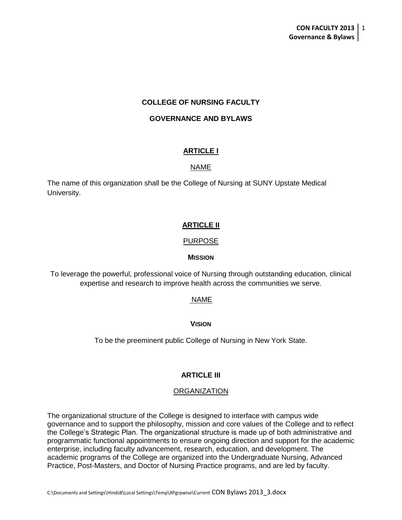# **COLLEGE OF NURSING FACULTY**

# **GOVERNANCE AND BYLAWS**

# **ARTICLE I**

# NAME

The name of this organization shall be the College of Nursing at SUNY Upstate Medical University.

# **ARTICLE II**

# PURPOSE

#### **MISSION**

To leverage the powerful, professional voice of Nursing through outstanding education, clinical expertise and research to improve health across the communities we serve.

# NAME

#### **VISION**

To be the preeminent public College of Nursing in New York State.

# **ARTICLE III**

#### ORGANIZATION

The organizational structure of the College is designed to interface with campus wide governance and to support the philosophy, mission and core values of the College and to reflect the College's Strategic Plan. The organizational structure is made up of both administrative and programmatic functional appointments to ensure ongoing direction and support for the academic enterprise, including faculty advancement, research, education, and development. The academic programs of the College are organized into the Undergraduate Nursing, Advanced Practice, Post-Masters, and Doctor of Nursing Practice programs, and are led by faculty.

C:\Documents and Settings\HindsB\Local Settings\Temp\XPgrpwise\Current CON Bylaws 2013\_3.docx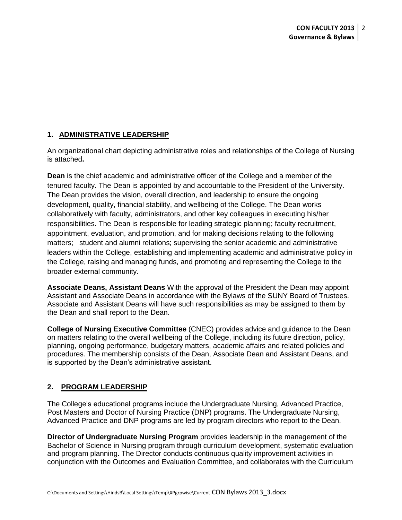# **1. ADMINISTRATIVE LEADERSHIP**

An organizational chart depicting administrative roles and relationships of the College of Nursing is attached**.**

**Dean** is the chief academic and administrative officer of the College and a member of the tenured faculty. The Dean is appointed by and accountable to the President of the University. The Dean provides the vision, overall direction, and leadership to ensure the ongoing development, quality, financial stability, and wellbeing of the College. The Dean works collaboratively with faculty, administrators, and other key colleagues in executing his/her responsibilities. The Dean is responsible for leading strategic planning; faculty recruitment, appointment, evaluation, and promotion, and for making decisions relating to the following matters; student and alumni relations; supervising the senior academic and administrative leaders within the College, establishing and implementing academic and administrative policy in the College, raising and managing funds, and promoting and representing the College to the broader external community.

**Associate Deans, Assistant Deans** With the approval of the President the Dean may appoint Assistant and Associate Deans in accordance with the Bylaws of the SUNY Board of Trustees. Associate and Assistant Deans will have such responsibilities as may be assigned to them by the Dean and shall report to the Dean.

**College of Nursing Executive Committee** (CNEC) provides advice and guidance to the Dean on matters relating to the overall wellbeing of the College, including its future direction, policy, planning, ongoing performance, budgetary matters, academic affairs and related policies and procedures. The membership consists of the Dean, Associate Dean and Assistant Deans, and is supported by the Dean's administrative assistant.

# **2. PROGRAM LEADERSHIP**

The College's educational programs include the Undergraduate Nursing, Advanced Practice, Post Masters and Doctor of Nursing Practice (DNP) programs. The Undergraduate Nursing, Advanced Practice and DNP programs are led by program directors who report to the Dean.

**Director of Undergraduate Nursing Program** provides leadership in the management of the Bachelor of Science in Nursing program through curriculum development, systematic evaluation and program planning. The Director conducts continuous quality improvement activities in conjunction with the Outcomes and Evaluation Committee, and collaborates with the Curriculum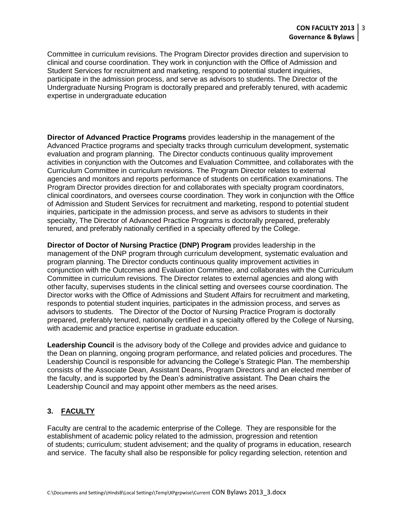Committee in curriculum revisions. The Program Director provides direction and supervision to clinical and course coordination. They work in conjunction with the Office of Admission and Student Services for recruitment and marketing, respond to potential student inquiries, participate in the admission process, and serve as advisors to students. The Director of the Undergraduate Nursing Program is doctorally prepared and preferably tenured, with academic expertise in undergraduate education

**Director of Advanced Practice Programs** provides leadership in the management of the Advanced Practice programs and specialty tracks through curriculum development, systematic evaluation and program planning. The Director conducts continuous quality improvement activities in conjunction with the Outcomes and Evaluation Committee, and collaborates with the Curriculum Committee in curriculum revisions. The Program Director relates to external agencies and monitors and reports performance of students on certification examinations. The Program Director provides direction for and collaborates with specialty program coordinators, clinical coordinators, and oversees course coordination. They work in conjunction with the Office of Admission and Student Services for recruitment and marketing, respond to potential student inquiries, participate in the admission process, and serve as advisors to students in their specialty, The Director of Advanced Practice Programs is doctorally prepared, preferably tenured, and preferably nationally certified in a specialty offered by the College.

**Director of Doctor of Nursing Practice (DNP) Program** provides leadership in the management of the DNP program through curriculum development, systematic evaluation and program planning. The Director conducts continuous quality improvement activities in conjunction with the Outcomes and Evaluation Committee, and collaborates with the Curriculum Committee in curriculum revisions. The Director relates to external agencies and along with other faculty, supervises students in the clinical setting and oversees course coordination. The Director works with the Office of Admissions and Student Affairs for recruitment and marketing, responds to potential student inquiries, participates in the admission process, and serves as advisors to students. The Director of the Doctor of Nursing Practice Program is doctorally prepared, preferably tenured, nationally certified in a specialty offered by the College of Nursing, with academic and practice expertise in graduate education.

**Leadership Council** is the advisory body of the College and provides advice and guidance to the Dean on planning, ongoing program performance, and related policies and procedures. The Leadership Council is responsible for advancing the College's Strategic Plan. The membership consists of the Associate Dean, Assistant Deans, Program Directors and an elected member of the faculty, and is supported by the Dean's administrative assistant. The Dean chairs the Leadership Council and may appoint other members as the need arises.

# **3. FACULTY**

Faculty are central to the academic enterprise of the College. They are responsible for the establishment of academic policy related to the admission, progression and retention of students; curriculum; student advisement; and the quality of programs in education, research and service. The faculty shall also be responsible for policy regarding selection, retention and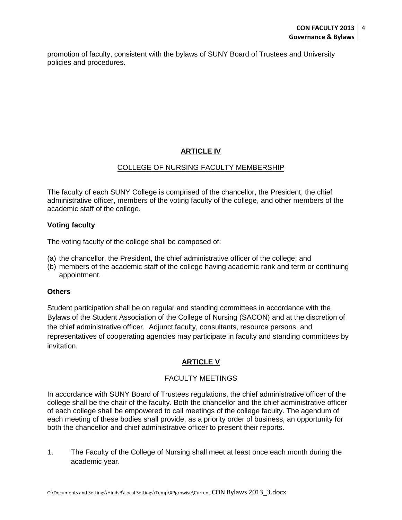promotion of faculty, consistent with the bylaws of SUNY Board of Trustees and University policies and procedures.

# **ARTICLE IV**

# COLLEGE OF NURSING FACULTY MEMBERSHIP

The faculty of each SUNY College is comprised of the chancellor, the President, the chief administrative officer, members of the voting faculty of the college, and other members of the academic staff of the college.

# **Voting faculty**

The voting faculty of the college shall be composed of:

- (a) the chancellor, the President, the chief administrative officer of the college; and
- (b) members of the academic staff of the college having academic rank and term or continuing appointment.

# **Others**

Student participation shall be on regular and standing committees in accordance with the Bylaws of the Student Association of the College of Nursing (SACON) and at the discretion of the chief administrative officer.Adjunct faculty, consultants, resource persons, and representatives of cooperating agencies may participate in faculty and standing committees by invitation.

# **ARTICLE V**

# FACULTY MEETINGS

In accordance with SUNY Board of Trustees regulations, the chief administrative officer of the college shall be the chair of the faculty. Both the chancellor and the chief administrative officer of each college shall be empowered to call meetings of the college faculty. The agendum of each meeting of these bodies shall provide, as a priority order of business, an opportunity for both the chancellor and chief administrative officer to present their reports.

1. The Faculty of the College of Nursing shall meet at least once each month during the academic year.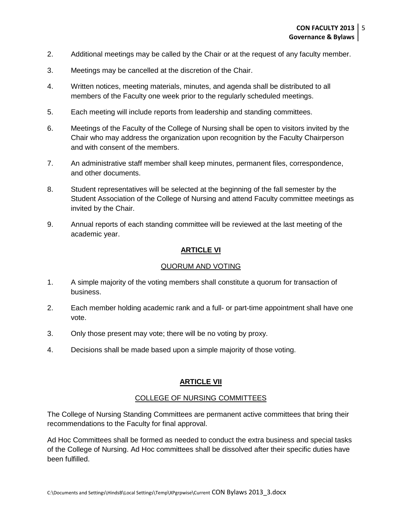- 2. Additional meetings may be called by the Chair or at the request of any faculty member.
- 3. Meetings may be cancelled at the discretion of the Chair.
- 4. Written notices, meeting materials, minutes, and agenda shall be distributed to all members of the Faculty one week prior to the regularly scheduled meetings.
- 5. Each meeting will include reports from leadership and standing committees.
- 6. Meetings of the Faculty of the College of Nursing shall be open to visitors invited by the Chair who may address the organization upon recognition by the Faculty Chairperson and with consent of the members.
- 7. An administrative staff member shall keep minutes, permanent files, correspondence, and other documents.
- 8. Student representatives will be selected at the beginning of the fall semester by the Student Association of the College of Nursing and attend Faculty committee meetings as invited by the Chair.
- 9. Annual reports of each standing committee will be reviewed at the last meeting of the academic year.

# **ARTICLE VI**

#### QUORUM AND VOTING

- 1. A simple majority of the voting members shall constitute a quorum for transaction of business.
- 2. Each member holding academic rank and a full- or part-time appointment shall have one vote.
- 3. Only those present may vote; there will be no voting by proxy.
- 4. Decisions shall be made based upon a simple majority of those voting.

# **ARTICLE VII**

# COLLEGE OF NURSING COMMITTEES

The College of Nursing Standing Committees are permanent active committees that bring their recommendations to the Faculty for final approval.

Ad Hoc Committees shall be formed as needed to conduct the extra business and special tasks of the College of Nursing. Ad Hoc committees shall be dissolved after their specific duties have been fulfilled.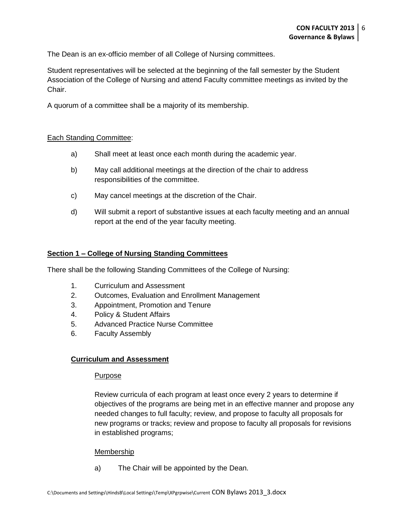The Dean is an ex-officio member of all College of Nursing committees.

Student representatives will be selected at the beginning of the fall semester by the Student Association of the College of Nursing and attend Faculty committee meetings as invited by the Chair.

A quorum of a committee shall be a majority of its membership.

#### Each Standing Committee:

- a) Shall meet at least once each month during the academic year.
- b) May call additional meetings at the direction of the chair to address responsibilities of the committee.
- c) May cancel meetings at the discretion of the Chair.
- d) Will submit a report of substantive issues at each faculty meeting and an annual report at the end of the year faculty meeting.

#### **Section 1 – College of Nursing Standing Committees**

There shall be the following Standing Committees of the College of Nursing:

- 1. Curriculum and Assessment
- 2. Outcomes, Evaluation and Enrollment Management
- 3. Appointment, Promotion and Tenure
- 4. Policy & Student Affairs
- 5. Advanced Practice Nurse Committee
- 6. Faculty Assembly

# **Curriculum and Assessment**

#### Purpose

Review curricula of each program at least once every 2 years to determine if objectives of the programs are being met in an effective manner and propose any needed changes to full faculty; review, and propose to faculty all proposals for new programs or tracks; review and propose to faculty all proposals for revisions in established programs;

#### Membership

a) The Chair will be appointed by the Dean.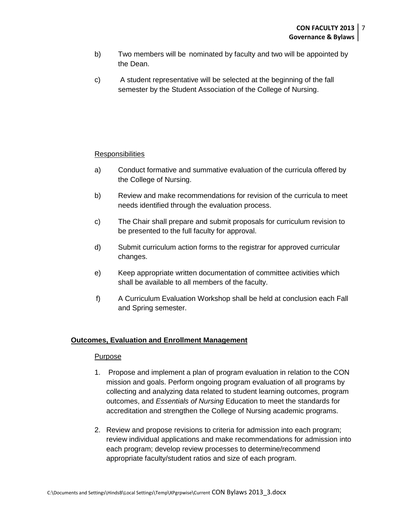- b) Two members will be nominated by faculty and two will be appointed by the Dean.
- c) A student representative will be selected at the beginning of the fall semester by the Student Association of the College of Nursing.

# **Responsibilities**

- a) Conduct formative and summative evaluation of the curricula offered by the College of Nursing.
- b) Review and make recommendations for revision of the curricula to meet needs identified through the evaluation process.
- c) The Chair shall prepare and submit proposals for curriculum revision to be presented to the full faculty for approval.
- d) Submit curriculum action forms to the registrar for approved curricular changes.
- e) Keep appropriate written documentation of committee activities which shall be available to all members of the faculty.
- f) A Curriculum Evaluation Workshop shall be held at conclusion each Fall and Spring semester.

# **Outcomes, Evaluation and Enrollment Management**

#### **Purpose**

- 1. Propose and implement a plan of program evaluation in relation to the CON mission and goals. Perform ongoing program evaluation of all programs by collecting and analyzing data related to student learning outcomes, program outcomes, and *Essentials of Nursing* Education to meet the standards for accreditation and strengthen the College of Nursing academic programs.
- 2. Review and propose revisions to criteria for admission into each program; review individual applications and make recommendations for admission into each program; develop review processes to determine/recommend appropriate faculty/student ratios and size of each program.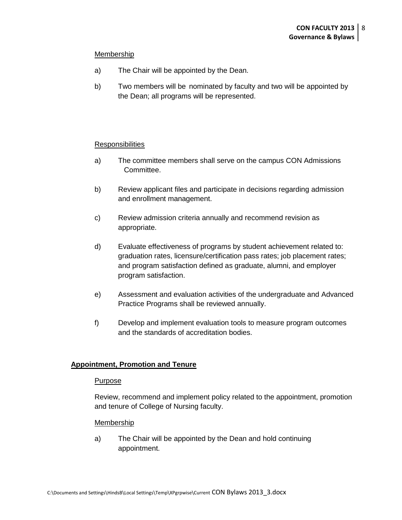#### Membership

- a) The Chair will be appointed by the Dean.
- b) Two members will be nominated by faculty and two will be appointed by the Dean; all programs will be represented.

#### **Responsibilities**

- a) The committee members shall serve on the campus CON Admissions Committee.
- b) Review applicant files and participate in decisions regarding admission and enrollment management.
- c) Review admission criteria annually and recommend revision as appropriate.
- d) Evaluate effectiveness of programs by student achievement related to: graduation rates, licensure/certification pass rates; job placement rates; and program satisfaction defined as graduate, alumni, and employer program satisfaction.
- e) Assessment and evaluation activities of the undergraduate and Advanced Practice Programs shall be reviewed annually.
- f) Develop and implement evaluation tools to measure program outcomes and the standards of accreditation bodies.

# **Appointment, Promotion and Tenure**

#### Purpose

Review, recommend and implement policy related to the appointment, promotion and tenure of College of Nursing faculty.

#### Membership

a) The Chair will be appointed by the Dean and hold continuing appointment.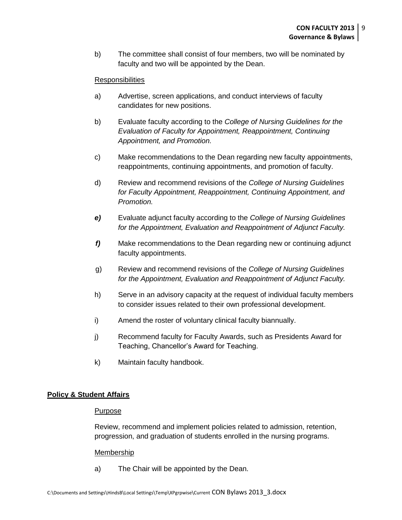b) The committee shall consist of four members, two will be nominated by faculty and two will be appointed by the Dean.

# **Responsibilities**

- a) Advertise, screen applications, and conduct interviews of faculty candidates for new positions.
- b) Evaluate faculty according to the *College of Nursing Guidelines for the Evaluation of Faculty for Appointment, Reappointment, Continuing Appointment, and Promotion.*
- c) Make recommendations to the Dean regarding new faculty appointments, reappointments, continuing appointments, and promotion of faculty.
- d) Review and recommend revisions of the *College of Nursing Guidelines for Faculty Appointment, Reappointment, Continuing Appointment, and Promotion.*
- *e)* Evaluate adjunct faculty according to the *College of Nursing Guidelines for the Appointment, Evaluation and Reappointment of Adjunct Faculty.*
- *f)* Make recommendations to the Dean regarding new or continuing adjunct faculty appointments.
- g) Review and recommend revisions of the *College of Nursing Guidelines for the Appointment, Evaluation and Reappointment of Adjunct Faculty.*
- h) Serve in an advisory capacity at the request of individual faculty members to consider issues related to their own professional development.
- i) Amend the roster of voluntary clinical faculty biannually.
- j) Recommend faculty for Faculty Awards, such as Presidents Award for Teaching, Chancellor's Award for Teaching.
- k) Maintain faculty handbook.

#### **Policy & Student Affairs**

#### Purpose

Review, recommend and implement policies related to admission, retention, progression, and graduation of students enrolled in the nursing programs.

#### Membership

a) The Chair will be appointed by the Dean.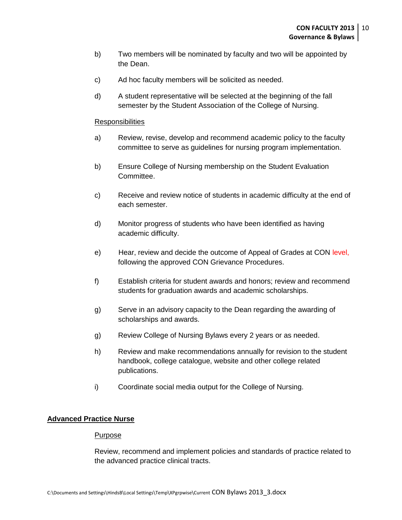- b) Two members will be nominated by faculty and two will be appointed by the Dean.
- c) Ad hoc faculty members will be solicited as needed.
- d) A student representative will be selected at the beginning of the fall semester by the Student Association of the College of Nursing.

#### **Responsibilities**

- a) Review, revise, develop and recommend academic policy to the faculty committee to serve as guidelines for nursing program implementation.
- b) Ensure College of Nursing membership on the Student Evaluation Committee.
- c) Receive and review notice of students in academic difficulty at the end of each semester.
- d) Monitor progress of students who have been identified as having academic difficulty.
- e) Hear, review and decide the outcome of Appeal of Grades at CON level, following the approved CON Grievance Procedures.
- f) Establish criteria for student awards and honors; review and recommend students for graduation awards and academic scholarships.
- g) Serve in an advisory capacity to the Dean regarding the awarding of scholarships and awards.
- g) Review College of Nursing Bylaws every 2 years or as needed.
- h) Review and make recommendations annually for revision to the student handbook, college catalogue, website and other college related publications.
- i) Coordinate social media output for the College of Nursing.

# **Advanced Practice Nurse**

#### Purpose

Review, recommend and implement policies and standards of practice related to the advanced practice clinical tracts.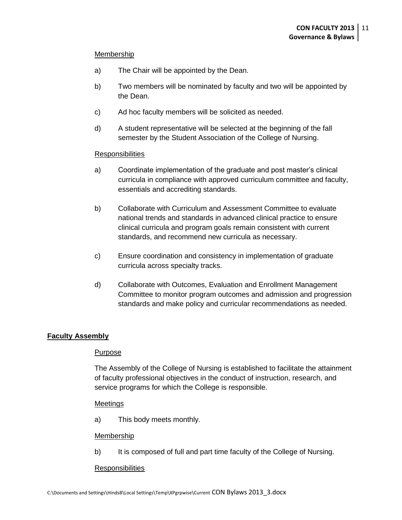#### Membership

- a) The Chair will be appointed by the Dean.
- b) Two members will be nominated by faculty and two will be appointed by the Dean.
- c) Ad hoc faculty members will be solicited as needed.
- d) A student representative will be selected at the beginning of the fall semester by the Student Association of the College of Nursing.

#### Responsibilities

- a) Coordinate implementation of the graduate and post master's clinical curricula in compliance with approved curriculum committee and faculty, essentials and accrediting standards.
- b) Collaborate with Curriculum and Assessment Committee to evaluate national trends and standards in advanced clinical practice to ensure clinical curricula and program goals remain consistent with current standards, and recommend new curricula as necessary.
- c) Ensure coordination and consistency in implementation of graduate curricula across specialty tracks.
- d) Collaborate with Outcomes, Evaluation and Enrollment Management Committee to monitor program outcomes and admission and progression standards and make policy and curricular recommendations as needed.

# **Faculty Assembly**

# Purpose

The Assembly of the College of Nursing is established to facilitate the attainment of faculty professional objectives in the conduct of instruction, research, and service programs for which the College is responsible.

#### Meetings

a) This body meets monthly.

#### Membership

b) It is composed of full and part time faculty of the College of Nursing.

#### **Responsibilities**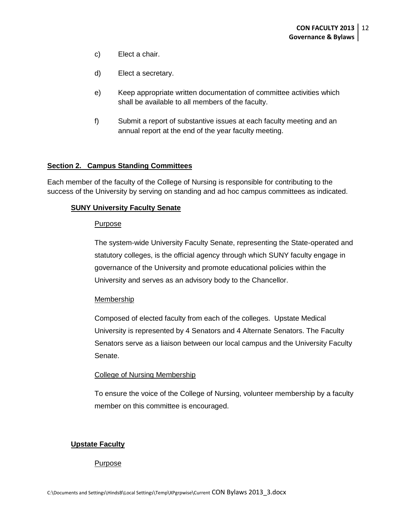- c) Elect a chair.
- d) Elect a secretary.
- e) Keep appropriate written documentation of committee activities which shall be available to all members of the faculty.
- f) Submit a report of substantive issues at each faculty meeting and an annual report at the end of the year faculty meeting.

#### **Section 2. Campus Standing Committees**

Each member of the faculty of the College of Nursing is responsible for contributing to the success of the University by serving on standing and ad hoc campus committees as indicated.

#### **SUNY University Faculty Senate**

#### **Purpose**

The system-wide University Faculty Senate, representing the State-operated and statutory colleges, is the official agency through which SUNY faculty engage in governance of the University and promote educational policies within the University and serves as an advisory body to the Chancellor.

#### **Membership**

Composed of elected faculty from each of the colleges. Upstate Medical University is represented by 4 Senators and 4 Alternate Senators. The Faculty Senators serve as a liaison between our local campus and the University Faculty Senate.

#### College of Nursing Membership

To ensure the voice of the College of Nursing, volunteer membership by a faculty member on this committee is encouraged.

#### **Upstate Faculty**

#### Purpose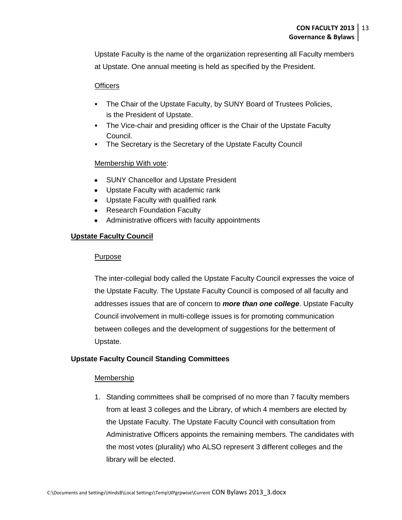Upstate Faculty is the name of the organization representing all Faculty members at Upstate. One annual meeting is held as specified by the President.

# **Officers**

- The Chair of the Upstate Faculty, by SUNY Board of Trustees Policies, is the President of Upstate.
- The Vice-chair and presiding officer is the Chair of the Upstate Faculty Council.
- The Secretary is the Secretary of the Upstate Faculty Council

# Membership With vote:

- SUNY Chancellor and Upstate President  $\bullet$
- Upstate Faculty with academic rank  $\bullet$
- Upstate Faculty with qualified rank
- Research Foundation Faculty  $\bullet$
- Administrative officers with faculty appointments

# **Upstate Faculty Council**

# Purpose

The inter-collegial body called the Upstate Faculty Council expresses the voice of the Upstate Faculty. The Upstate Faculty Council is composed of all faculty and addresses issues that are of concern to *more than one college*. Upstate Faculty Council involvement in multi-college issues is for promoting communication between colleges and the development of suggestions for the betterment of Upstate.

# **Upstate Faculty Council Standing Committees**

# Membership

1. Standing committees shall be comprised of no more than 7 faculty members from at least 3 colleges and the Library, of which 4 members are elected by the Upstate Faculty. The Upstate Faculty Council with consultation from Administrative Officers appoints the remaining members. The candidates with the most votes (plurality) who ALSO represent 3 different colleges and the library will be elected.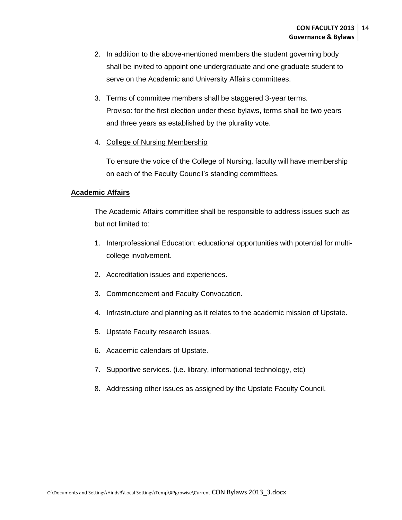- 2. In addition to the above-mentioned members the student governing body shall be invited to appoint one undergraduate and one graduate student to serve on the Academic and University Affairs committees.
- 3. Terms of committee members shall be staggered 3-year terms. Proviso: for the first election under these bylaws, terms shall be two years and three years as established by the plurality vote.
- 4. College of Nursing Membership

To ensure the voice of the College of Nursing, faculty will have membership on each of the Faculty Council's standing committees.

# **Academic Affairs**

The Academic Affairs committee shall be responsible to address issues such as but not limited to:

- 1. Interprofessional Education: educational opportunities with potential for multicollege involvement.
- 2. Accreditation issues and experiences.
- 3. Commencement and Faculty Convocation.
- 4. Infrastructure and planning as it relates to the academic mission of Upstate.
- 5. Upstate Faculty research issues.
- 6. Academic calendars of Upstate.
- 7. Supportive services. (i.e. library, informational technology, etc)
- 8. Addressing other issues as assigned by the Upstate Faculty Council.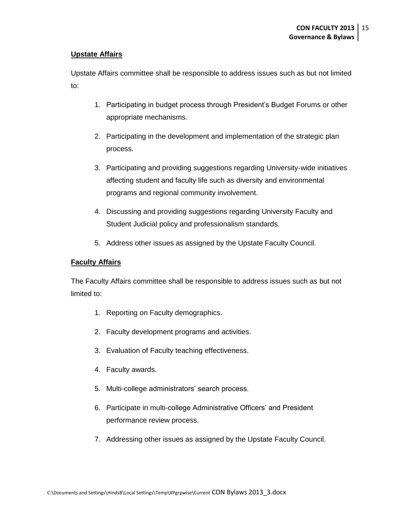# **Upstate Affairs**

Upstate Affairs committee shall be responsible to address issues such as but not limited to:

- 1. Participating in budget process through President's Budget Forums or other appropriate mechanisms.
- 2. Participating in the development and implementation of the strategic plan process.
- 3. Participating and providing suggestions regarding University-wide initiatives affecting student and faculty life such as diversity and environmental programs and regional community involvement.
- 4. Discussing and providing suggestions regarding University Faculty and Student Judicial policy and professionalism standards.
- 5. Address other issues as assigned by the Upstate Faculty Council.

# **Faculty Affairs**

The Faculty Affairs committee shall be responsible to address issues such as but not limited to:

- 1. Reporting on Faculty demographics.
- 2. Faculty development programs and activities.
- 3. Evaluation of Faculty teaching effectiveness.
- 4. Faculty awards.
- 5. Multi-college administrators' search process.
- 6. Participate in multi-college Administrative Officers' and President performance review process.
- 7. Addressing other issues as assigned by the Upstate Faculty Council.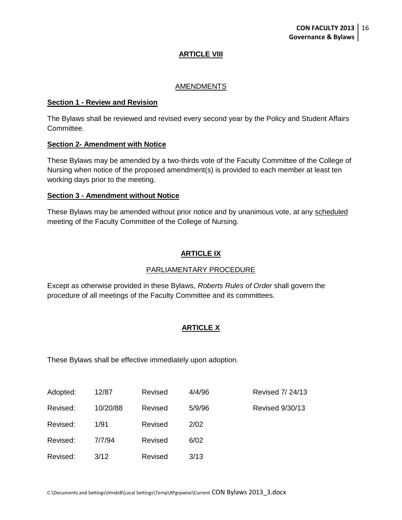# **ARTICLE VIII**

#### AMENDMENTS

#### **Section 1 - Review and Revision**

The Bylaws shall be reviewed and revised every second year by the Policy and Student Affairs Committee.

#### **Section 2- Amendment with Notice**

These Bylaws may be amended by a two-thirds vote of the Faculty Committee of the College of Nursing when notice of the proposed amendment(s) is provided to each member at least ten working days prior to the meeting.

#### **Section 3 - Amendment without Notice**

These Bylaws may be amended without prior notice and by unanimous vote, at any scheduled meeting of the Faculty Committee of the College of Nursing.

# **ARTICLE IX**

#### PARLIAMENTARY PROCEDURE

Except as otherwise provided in these Bylaws, *Roberts Rules of Order* shall govern the procedure of all meetings of the Faculty Committee and its committees.

# **ARTICLE X**

These Bylaws shall be effective immediately upon adoption.

| Adopted: | 12/87    | Revised | 4/4/96 | <b>Revised 7/24/13</b> |
|----------|----------|---------|--------|------------------------|
| Revised: | 10/20/88 | Revised | 5/9/96 | <b>Revised 9/30/13</b> |
| Revised: | 1/91     | Revised | 2/02   |                        |
| Revised: | 7/7/94   | Revised | 6/02   |                        |
| Revised: | 3/12     | Revised | 3/13   |                        |